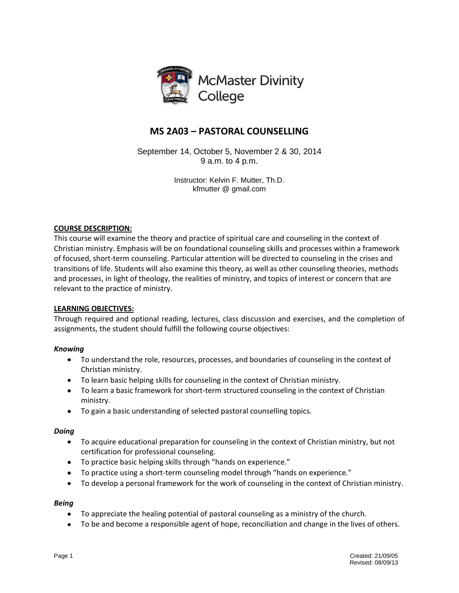

# **MS 2A03 – PASTORAL COUNSELLING**

September 14, October 5, November 2 & 30, 2014 9 a.m. to 4 p.m.

> Instructor: Kelvin F. Mutter, Th.D. kfmutter @ gmail.com

# **COURSE DESCRIPTION:**

This course will examine the theory and practice of spiritual care and counseling in the context of Christian ministry. Emphasis will be on foundational counseling skills and processes within a framework of focused, short-term counseling. Particular attention will be directed to counseling in the crises and transitions of life. Students will also examine this theory, as well as other counseling theories, methods and processes, in light of theology, the realities of ministry, and topics of interest or concern that are relevant to the practice of ministry.

# **LEARNING OBJECTIVES:**

Through required and optional reading, lectures, class discussion and exercises, and the completion of assignments, the student should fulfill the following course objectives:

# *Knowing*

- To understand the role, resources, processes, and boundaries of counseling in the context of Christian ministry.
- To learn basic helping skills for counseling in the context of Christian ministry.
- To learn a basic framework for short-term structured counseling in the context of Christian ministry.
- To gain a basic understanding of selected pastoral counselling topics.

# *Doing*

- To acquire educational preparation for counseling in the context of Christian ministry, but not certification for professional counseling.
- To practice basic helping skills through "hands on experience."
- To practice using a short-term counseling model through "hands on experience."
- $\bullet$ To develop a personal framework for the work of counseling in the context of Christian ministry.

# *Being*

- To appreciate the healing potential of pastoral counseling as a ministry of the church.
- To be and become a responsible agent of hope, reconciliation and change in the lives of others. $\bullet$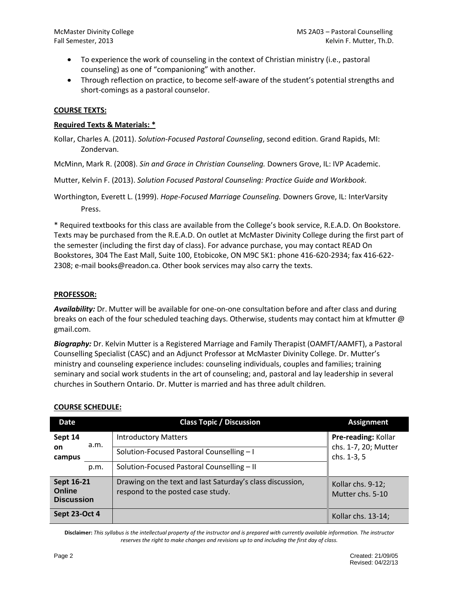- To experience the work of counseling in the context of Christian ministry (i.e., pastoral counseling) as one of "companioning" with another.
- Through reflection on practice, to become self-aware of the student's potential strengths and short-comings as a pastoral counselor.

## **COURSE TEXTS:**

### **Required Texts & Materials: \***

Kollar, Charles A. (2011). *Solution-Focused Pastoral Counseling*, second edition. Grand Rapids, MI: Zondervan.

McMinn, Mark R. (2008). *Sin and Grace in Christian Counseling.* Downers Grove, IL: IVP Academic.

Mutter, Kelvin F. (2013). *Solution Focused Pastoral Counseling: Practice Guide and Workbook.*

Worthington, Everett L. (1999). *Hope-Focused Marriage Counseling.* Downers Grove, IL: InterVarsity Press.

\* Required textbooks for this class are available from the College's book service, R.E.A.D. On Bookstore. Texts may be purchased from the R.E.A.D. On outlet at McMaster Divinity College during the first part of the semester (including the first day of class). For advance purchase, you may contact READ On Bookstores, 304 The East Mall, Suite 100, Etobicoke, ON M9C 5K1: phone 416-620-2934; fax 416-622- 2308; e-mail books@readon.ca. Other book services may also carry the texts.

### **PROFESSOR:**

*Availability:* Dr. Mutter will be available for one-on-one consultation before and after class and during breaks on each of the four scheduled teaching days. Otherwise, students may contact him at kfmutter @ gmail.com.

*Biography:* Dr. Kelvin Mutter is a Registered Marriage and Family Therapist (OAMFT/AAMFT), a Pastoral Counselling Specialist (CASC) and an Adjunct Professor at McMaster Divinity College. Dr. Mutter's ministry and counseling experience includes: counseling individuals, couples and families; training seminary and social work students in the art of counseling; and, pastoral and lay leadership in several churches in Southern Ontario. Dr. Mutter is married and has three adult children.

| Date                                      |      | <b>Class Topic / Discussion</b>                                                                | <b>Assignment</b>                                          |
|-------------------------------------------|------|------------------------------------------------------------------------------------------------|------------------------------------------------------------|
| Sept 14<br>on<br>campus                   | a.m. | <b>Introductory Matters</b><br>Solution-Focused Pastoral Counselling - I                       | Pre-reading: Kollar<br>chs. 1-7, 20; Mutter<br>chs. 1-3, 5 |
|                                           | p.m. | Solution-Focused Pastoral Counselling - II                                                     |                                                            |
| Sept 16-21<br>Online<br><b>Discussion</b> |      | Drawing on the text and last Saturday's class discussion,<br>respond to the posted case study. | Kollar chs. 9-12;<br>Mutter chs. 5-10                      |
| Sept 23-Oct 4                             |      |                                                                                                | Kollar chs. 13-14;                                         |

# **COURSE SCHEDULE:**

**Disclaimer:** *This syllabus is the intellectual property of the instructor and is prepared with currently available information. The instructor reserves the right to make changes and revisions up to and including the first day of class.*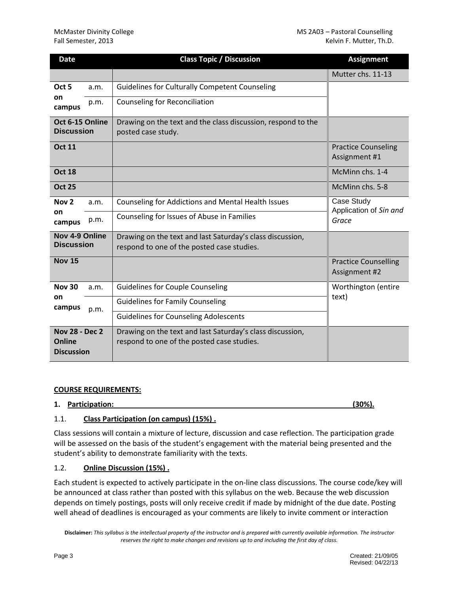| <b>Date</b>                                          |      | <b>Class Topic / Discussion</b>                                                                         | <b>Assignment</b>                             |
|------------------------------------------------------|------|---------------------------------------------------------------------------------------------------------|-----------------------------------------------|
|                                                      |      |                                                                                                         | Mutter chs. 11-13                             |
| Oct <sub>5</sub><br>on<br>campus                     | a.m. | <b>Guidelines for Culturally Competent Counseling</b>                                                   |                                               |
|                                                      | p.m. | <b>Counseling for Reconciliation</b>                                                                    |                                               |
| Oct 6-15 Online<br><b>Discussion</b>                 |      | Drawing on the text and the class discussion, respond to the<br>posted case study.                      |                                               |
| <b>Oct 11</b>                                        |      |                                                                                                         | <b>Practice Counseling</b><br>Assignment #1   |
| <b>Oct 18</b>                                        |      |                                                                                                         | McMinn chs. 1-4                               |
| <b>Oct 25</b>                                        |      |                                                                                                         | McMinn chs. 5-8                               |
| Nov <sub>2</sub><br>on<br>campus                     | a.m. | Counseling for Addictions and Mental Health Issues                                                      | Case Study<br>Application of Sin and<br>Grace |
|                                                      | p.m. | Counseling for Issues of Abuse in Families                                                              |                                               |
| Nov 4-9 Online<br><b>Discussion</b>                  |      | Drawing on the text and last Saturday's class discussion,<br>respond to one of the posted case studies. |                                               |
| <b>Nov 15</b>                                        |      |                                                                                                         | <b>Practice Counselling</b><br>Assignment #2  |
| <b>Nov 30</b><br>on<br>campus                        | a.m. | <b>Guidelines for Couple Counseling</b>                                                                 | Worthington (entire                           |
|                                                      | p.m. | <b>Guidelines for Family Counseling</b>                                                                 | text)                                         |
|                                                      |      | <b>Guidelines for Counseling Adolescents</b>                                                            |                                               |
| <b>Nov 28 - Dec 2</b><br>Online<br><b>Discussion</b> |      | Drawing on the text and last Saturday's class discussion,<br>respond to one of the posted case studies. |                                               |

# **COURSE REQUIREMENTS:**

#### **1. Participation: (30%).**

# 1.1. **Class Participation (on campus) (15%) .**

Class sessions will contain a mixture of lecture, discussion and case reflection. The participation grade will be assessed on the basis of the student's engagement with the material being presented and the student's ability to demonstrate familiarity with the texts.

# 1.2. **Online Discussion (15%) .**

Each student is expected to actively participate in the on-line class discussions. The course code/key will be announced at class rather than posted with this syllabus on the web. Because the web discussion depends on timely postings, posts will only receive credit if made by midnight of the due date. Posting well ahead of deadlines is encouraged as your comments are likely to invite comment or interaction

**Disclaimer:** *This syllabus is the intellectual property of the instructor and is prepared with currently available information. The instructor reserves the right to make changes and revisions up to and including the first day of class.*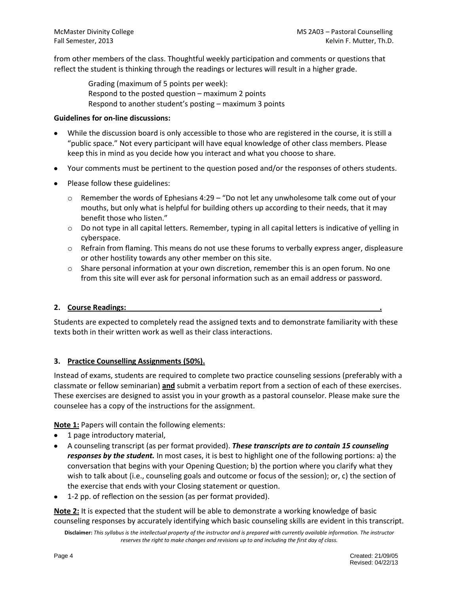from other members of the class. Thoughtful weekly participation and comments or questions that reflect the student is thinking through the readings or lectures will result in a higher grade.

> Grading (maximum of 5 points per week): Respond to the posted question – maximum 2 points Respond to another student's posting – maximum 3 points

#### **Guidelines for on-line discussions:**

- While the discussion board is only accessible to those who are registered in the course, it is still a "public space." Not every participant will have equal knowledge of other class members. Please keep this in mind as you decide how you interact and what you choose to share.
- Your comments must be pertinent to the question posed and/or the responses of others students.
- Please follow these guidelines:
	- $\circ$  Remember the words of Ephesians 4:29 "Do not let any unwholesome talk come out of your mouths, but only what is helpful for building others up according to their needs, that it may benefit those who listen."
	- $\circ$  Do not type in all capital letters. Remember, typing in all capital letters is indicative of yelling in cyberspace.
	- $\circ$  Refrain from flaming. This means do not use these forums to verbally express anger, displeasure or other hostility towards any other member on this site.
	- $\circ$  Share personal information at your own discretion, remember this is an open forum. No one from this site will ever ask for personal information such as an email address or password.

# **2. Course Readings: .**

Students are expected to completely read the assigned texts and to demonstrate familiarity with these texts both in their written work as well as their class interactions.

# **3. Practice Counselling Assignments (50%).**

Instead of exams, students are required to complete two practice counseling sessions (preferably with a classmate or fellow seminarian) **and** submit a verbatim report from a section of each of these exercises. These exercises are designed to assist you in your growth as a pastoral counselor. Please make sure the counselee has a copy of the instructions for the assignment.

**Note 1:** Papers will contain the following elements:

- 1 page introductory material,
- A counseling transcript (as per format provided). *These transcripts are to contain 15 counseling responses by the student.* In most cases, it is best to highlight one of the following portions: a) the conversation that begins with your Opening Question; b) the portion where you clarify what they wish to talk about (i.e., counseling goals and outcome or focus of the session); or, c) the section of the exercise that ends with your Closing statement or question.
- 1-2 pp. of reflection on the session (as per format provided).

**Note 2:** It is expected that the student will be able to demonstrate a working knowledge of basic counseling responses by accurately identifying which basic counseling skills are evident in this transcript.

**Disclaimer:** *This syllabus is the intellectual property of the instructor and is prepared with currently available information. The instructor reserves the right to make changes and revisions up to and including the first day of class.*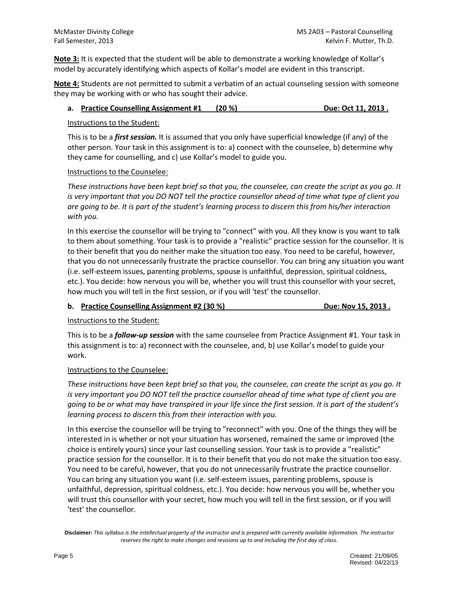**Note 3:** It is expected that the student will be able to demonstrate a working knowledge of Kollar's model by accurately identifying which aspects of Kollar's model are evident in this transcript.

**Note 4:** Students are not permitted to submit a verbatim of an actual counseling session with someone they may be working with or who has sought their advice.

### **a. Practice Counselling Assignment #1 (20 %) Due: Oct 11, 2013 .**

#### Instructions to the Student:

This is to be a *first session.* It is assumed that you only have superficial knowledge (if any) of the other person. Your task in this assignment is to: a) connect with the counselee, b) determine why they came for counselling, and c) use Kollar's model to guide you.

### Instructions to the Counselee:

*These instructions have been kept brief so that you, the counselee, can create the script as you go. It is very important that you DO NOT tell the practice counsellor ahead of time what type of client you are going to be. It is part of the student's learning process to discern this from his/her interaction with you.*

In this exercise the counsellor will be trying to "connect" with you. All they know is you want to talk to them about something. Your task is to provide a "realistic" practice session for the counsellor. It is to their benefit that you do neither make the situation too easy. You need to be careful, however, that you do not unnecessarily frustrate the practice counsellor. You can bring any situation you want (i.e. self-esteem issues, parenting problems, spouse is unfaithful, depression, spiritual coldness, etc.). You decide: how nervous you will be, whether you will trust this counsellor with your secret, how much you will tell in the first session, or if you will 'test' the counsellor.

# **b.** Practice Counselling Assignment #2 (30 %) **Due: Nov 15, 2013** .

Instructions to the Student:

This is to be a *follow-up session* with the same counselee from Practice Assignment #1. Your task in this assignment is to: a) reconnect with the counselee, and, b) use Kollar's model to guide your work.

# Instructions to the Counselee:

*These instructions have been kept brief so that you, the counselee, can create the script as you go. It*  is very important you DO NOT tell the practice counsellor ahead of time what type of client you are *going to be or what may have transpired in your life since the first session. It is part of the student's learning process to discern this from their interaction with you.*

In this exercise the counsellor will be trying to "reconnect" with you. One of the things they will be interested in is whether or not your situation has worsened, remained the same or improved (the choice is entirely yours) since your last counselling session. Your task is to provide a "realistic" practice session for the counsellor. It is to their benefit that you do not make the situation too easy. You need to be careful, however, that you do not unnecessarily frustrate the practice counsellor. You can bring any situation you want (i.e. self-esteem issues, parenting problems, spouse is unfaithful, depression, spiritual coldness, etc.). You decide: how nervous you will be, whether you will trust this counsellor with your secret, how much you will tell in the first session, or if you will 'test' the counsellor.

**Disclaimer:** *This syllabus is the intellectual property of the instructor and is prepared with currently available information. The instructor reserves the right to make changes and revisions up to and including the first day of class.*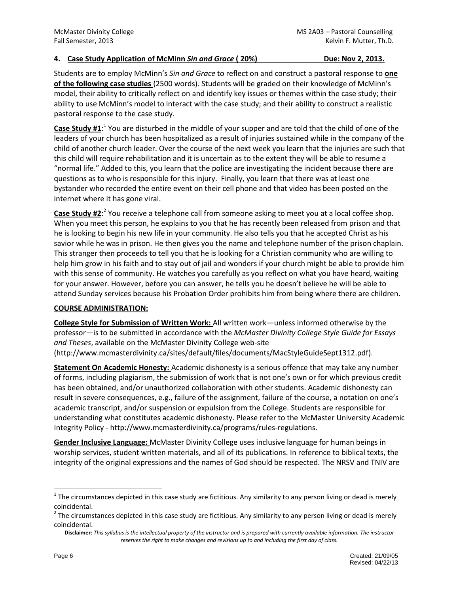### **4. Case Study Application of McMinn** *Sin and Grace* **( 20%) Due: Nov 2, 2013.**

Students are to employ McMinn's *Sin and Grace* to reflect on and construct a pastoral response to **one of the following case studies** (2500 words). Students will be graded on their knowledge of McMinn's model, their ability to critically reflect on and identify key issues or themes within the case study; their ability to use McMinn's model to interact with the case study; and their ability to construct a realistic pastoral response to the case study.

Case Study #1:<sup>1</sup> You are disturbed in the middle of your supper and are told that the child of one of the leaders of your church has been hospitalized as a result of injuries sustained while in the company of the child of another church leader. Over the course of the next week you learn that the injuries are such that this child will require rehabilitation and it is uncertain as to the extent they will be able to resume a "normal life." Added to this, you learn that the police are investigating the incident because there are questions as to who is responsible for this injury. Finally, you learn that there was at least one bystander who recorded the entire event on their cell phone and that video has been posted on the internet where it has gone viral.

**Case Study #2**: 2 You receive a telephone call from someone asking to meet you at a local coffee shop. When you meet this person, he explains to you that he has recently been released from prison and that he is looking to begin his new life in your community. He also tells you that he accepted Christ as his savior while he was in prison. He then gives you the name and telephone number of the prison chaplain. This stranger then proceeds to tell you that he is looking for a Christian community who are willing to help him grow in his faith and to stay out of jail and wonders if your church might be able to provide him with this sense of community. He watches you carefully as you reflect on what you have heard, waiting for your answer. However, before you can answer, he tells you he doesn't believe he will be able to attend Sunday services because his Probation Order prohibits him from being where there are children.

#### **COURSE ADMINISTRATION:**

**College Style for Submission of Written Work:** All written work—unless informed otherwise by the professor—is to be submitted in accordance with the *McMaster Divinity College Style Guide for Essays and Theses*, available on the McMaster Divinity College web-site (http://www.mcmasterdivinity.ca/sites/default/files/documents/MacStyleGuideSept1312.pdf).

**Statement On Academic Honesty:** Academic dishonesty is a serious offence that may take any number of forms, including plagiarism, the submission of work that is not one's own or for which previous credit has been obtained, and/or unauthorized collaboration with other students. Academic dishonesty can result in severe consequences, e.g., failure of the assignment, failure of the course, a notation on one's academic transcript, and/or suspension or expulsion from the College. Students are responsible for understanding what constitutes academic dishonesty. Please refer to the McMaster University Academic

Integrity Policy - http://www.mcmasterdivinity.ca/programs/rules-regulations. **Gender Inclusive Language:** McMaster Divinity College uses inclusive language for human beings in

worship services, student written materials, and all of its publications. In reference to biblical texts, the integrity of the original expressions and the names of God should be respected. The NRSV and TNIV are

 $\overline{a}$ 

 $^1$  The circumstances depicted in this case study are fictitious. Any similarity to any person living or dead is merely coincidental.

 $^2$  The circumstances depicted in this case study are fictitious. Any similarity to any person living or dead is merely coincidental.

**Disclaimer:** *This syllabus is the intellectual property of the instructor and is prepared with currently available information. The instructor reserves the right to make changes and revisions up to and including the first day of class.*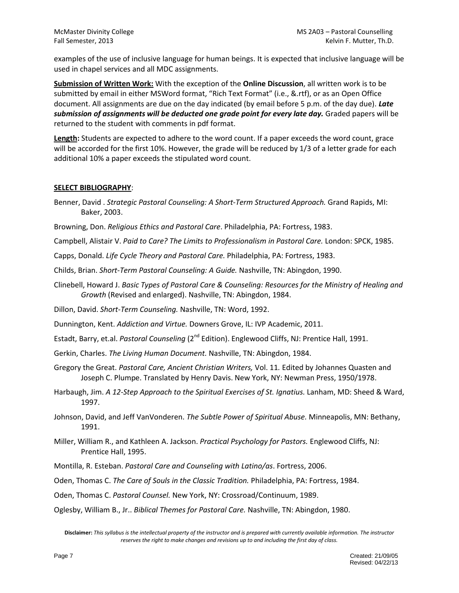examples of the use of inclusive language for human beings. It is expected that inclusive language will be used in chapel services and all MDC assignments.

**Submission of Written Work:** With the exception of the **Online Discussion**, all written work is to be submitted by email in either MSWord format, "Rich Text Format" (i.e., &.rtf), or as an Open Office document. All assignments are due on the day indicated (by email before 5 p.m. of the day due). *Late submission of assignments will be deducted one grade point for every late day.* Graded papers will be returned to the student with comments in pdf format.

**Length:** Students are expected to adhere to the word count. If a paper exceeds the word count, grace will be accorded for the first 10%. However, the grade will be reduced by 1/3 of a letter grade for each additional 10% a paper exceeds the stipulated word count.

### **SELECT BIBLIOGRAPHY**:

Benner, David . *Strategic Pastoral Counseling: A Short-Term Structured Approach.* Grand Rapids, MI: Baker, 2003.

Browning, Don. *Religious Ethics and Pastoral Care*. Philadelphia, PA: Fortress, 1983.

Campbell, Alistair V. *Paid to Care? The Limits to Professionalism in Pastoral Care.* London: SPCK, 1985.

Capps, Donald. *Life Cycle Theory and Pastoral Care.* Philadelphia, PA: Fortress, 1983.

Childs, Brian. *Short-Term Pastoral Counseling: A Guide.* Nashville, TN: Abingdon, 1990.

Clinebell, Howard J. *Basic Types of Pastoral Care & Counseling: Resources for the Ministry of Healing and Growth* (Revised and enlarged). Nashville, TN: Abingdon, 1984.

Dillon, David. *Short-Term Counseling.* Nashville, TN: Word, 1992.

Dunnington, Kent. *Addiction and Virtue.* Downers Grove, IL: IVP Academic, 2011.

Estadt, Barry, et.al. *Pastoral Counseling* (2<sup>nd</sup> Edition). Englewood Cliffs, NJ: Prentice Hall, 1991.

- Gerkin, Charles. *The Living Human Document.* Nashville, TN: Abingdon, 1984.
- Gregory the Great. *Pastoral Care, Ancient Christian Writers,* Vol. 11*.* Edited by Johannes Quasten and Joseph C. Plumpe. Translated by Henry Davis. New York, NY: Newman Press, 1950/1978.
- Harbaugh, Jim. *A 12-Step Approach to the Spiritual Exercises of St. Ignatius.* Lanham, MD: Sheed & Ward, 1997.

Johnson, David, and Jeff VanVonderen. *The Subtle Power of Spiritual Abuse.* Minneapolis, MN: Bethany, 1991.

- Miller, William R., and Kathleen A. Jackson. *Practical Psychology for Pastors.* Englewood Cliffs, NJ: Prentice Hall, 1995.
- Montilla, R. Esteban. *Pastoral Care and Counseling with Latino/as*. Fortress, 2006.

Oden, Thomas C. *The Care of Souls in the Classic Tradition.* Philadelphia, PA: Fortress, 1984.

Oden, Thomas C. *Pastoral Counsel.* New York, NY: Crossroad/Continuum, 1989.

Oglesby, William B., Jr.. *Biblical Themes for Pastoral Care.* Nashville, TN: Abingdon, 1980.

**Disclaimer:** *This syllabus is the intellectual property of the instructor and is prepared with currently available information. The instructor reserves the right to make changes and revisions up to and including the first day of class.*